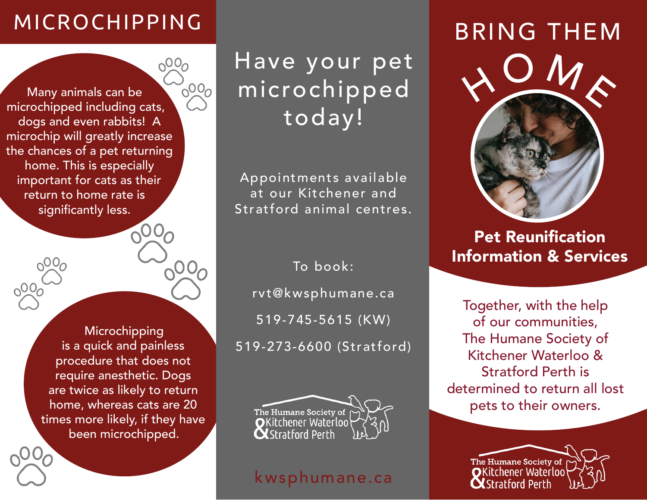# MICROCHIPPING

 $0<sup>0</sup>$ 

 $0000$ Many animals can be microchipped including cats, dogs and even rabbits! A microchip will greatly increase the chances of a pet returning home. This is especially important for cats as their return to home rate is significantly less.

> **Microchipping** is a quick and painless procedure that does not require anesthetic. Dogs are twice as likely to return home, whereas cats are 20 times more likely, if they have been microchipped.

Have your pet microchipped today!

Appointments available at our Kitchener and Stratford animal centres.

To book: rvt@kwsphumane.ca 519-745-5615 (KW) 519-273-6600 (Stratford)



### kwsphumane.ca

# BRING THEM



Pet Reunification Information & Services

Together, with the help of our communities, The Humane Society of Kitchener Waterloo & Stratford Perth is determined to return all lost pets to their owners.